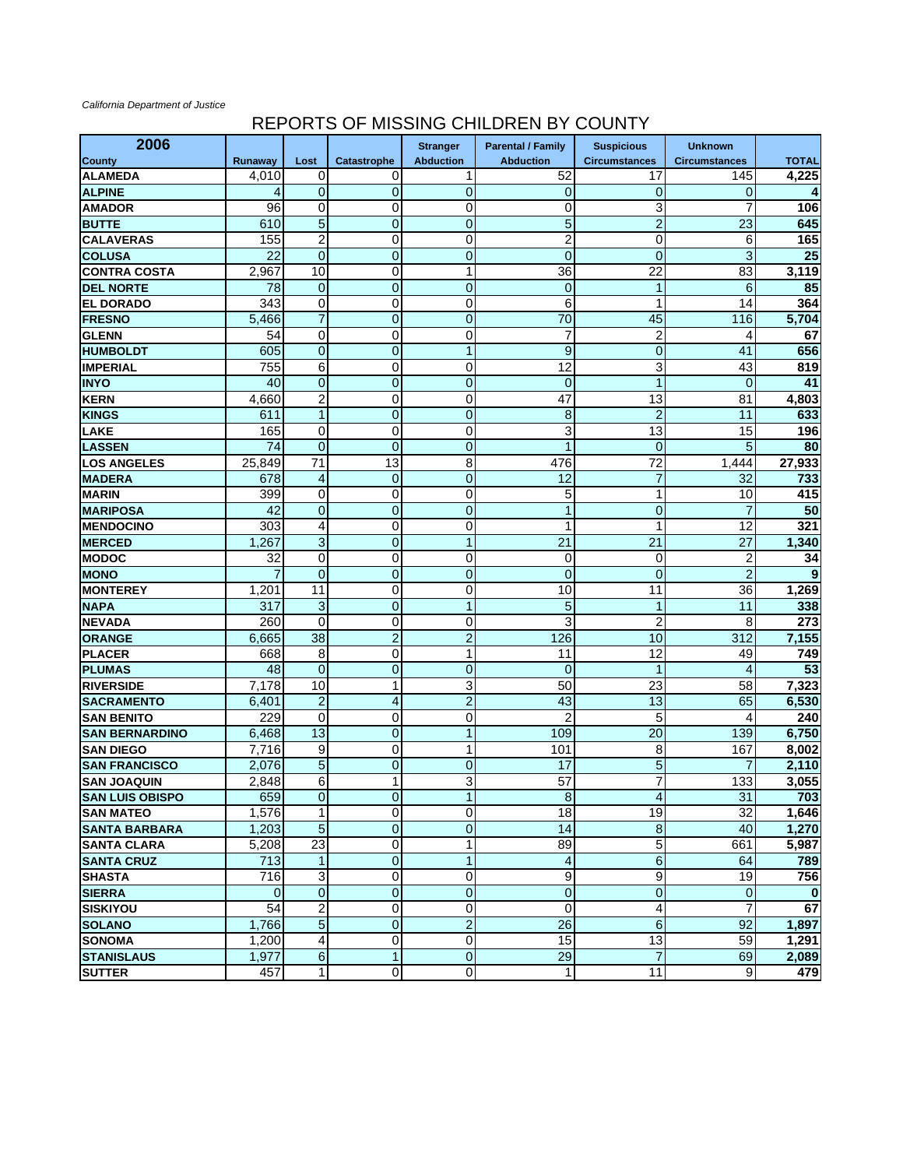## *California Department of Justice*

## REPORTS OF MISSING CHILDREN BY COUNTY

| 2006                   |                 |                         |                         | <b>Stranger</b>  | <b>Parental / Family</b> | <b>Suspicious</b>    | <b>Unknown</b>       |                 |
|------------------------|-----------------|-------------------------|-------------------------|------------------|--------------------------|----------------------|----------------------|-----------------|
| <b>County</b>          | Runaway         | Lost                    | Catastrophe             | <b>Abduction</b> | <b>Abduction</b>         | <b>Circumstances</b> | <b>Circumstances</b> | <b>TOTAL</b>    |
| <b>ALAMEDA</b>         | 4,010           | 0                       | 0                       | 1                | 52                       | 17                   | 145                  | 4,225           |
| <b>ALPINE</b>          | 4               | $\mathbf 0$             | $\overline{0}$          | $\mathbf 0$      | $\mathbf 0$              | 0                    | 0                    | 4               |
| <b>AMADOR</b>          | 96              | 0                       | 0                       | 0                | 0                        | 3                    | 7                    | 106             |
| <b>BUTTE</b>           | 610             | 5                       | $\mathbf{0}$            | $\overline{0}$   | 5                        | 2                    | 23                   | 645             |
| <b>CALAVERAS</b>       | 155             | $\overline{c}$          | 0                       | $\mathbf 0$      | $\overline{c}$           | $\overline{0}$       | 6                    | 165             |
| <b>COLUSA</b>          | $\overline{22}$ | $\overline{0}$          | $\boldsymbol{0}$        | $\mathbf 0$      | $\overline{0}$           | $\overline{0}$       | 3                    | $\overline{25}$ |
| <b>CONTRA COSTA</b>    | 2,967           | 10                      | 0                       | $\mathbf{1}$     | 36                       | 22                   | 83                   | 3,119           |
| <b>DEL NORTE</b>       | 78              | $\mathbf 0$             | $\mathbf 0$             | $\mathbf 0$      | $\mathbf 0$              | $\mathbf{1}$         | 6                    | 85              |
| <b>EL DORADO</b>       | 343             | 0                       | 0                       | 0                | 6                        | 1                    | 14                   | 364             |
| <b>FRESNO</b>          | 5,466           | $\overline{7}$          | $\pmb{0}$               | $\mathbf 0$      | $\overline{70}$          | 45                   | 116                  | 5,704           |
| <b>GLENN</b>           | 54              | $\overline{0}$          | 0                       | 0                | 7                        | $\overline{2}$       | 4                    | 67              |
| <b>HUMBOLDT</b>        | 605             | $\pmb{0}$               | $\mathbf 0$             | $\mathbf{1}$     | 9                        | $\mathbf 0$          | 41                   | 656             |
| <b>IMPERIAL</b>        | 755             | 6                       | 0                       | 0                | 12                       | 3                    | 43                   | 819             |
| <b>INYO</b>            | 40              | $\overline{0}$          | $\mathbf{0}$            | $\overline{0}$   | $\overline{0}$           | $\mathbf{1}$         | $\mathbf 0$          | 41              |
| <b>KERN</b>            | 4,660           | $\overline{\mathbf{c}}$ | 0                       | $\pmb{0}$        | 47                       | $\overline{13}$      | 81                   | 4,803           |
| <b>KINGS</b>           | 611             | $\mathbf{1}$            | $\mathbf 0$             | $\mathbf 0$      | 8                        | $\overline{c}$       | 11                   | 633             |
| <b>LAKE</b>            | 165             | 0                       | 0                       | 0                | 3                        | 13                   | 15                   | 196             |
| <b>LASSEN</b>          | 74              | $\pmb{0}$               | $\overline{0}$          | $\mathbf 0$      | 1                        | 0                    | 5                    | 80              |
| <b>LOS ANGELES</b>     | 25,849          | 71                      | 13                      | 8                | 476                      | 72                   | 1,444                | 27,933          |
| <b>MADERA</b>          | 678             | 4                       | $\mathbf 0$             | $\mathbf 0$      | 12                       | $\overline{7}$       | 32                   | 733             |
| <b>MARIN</b>           | 399             | $\pmb{0}$               | 0                       | $\mathbf 0$      | 5                        | 1                    | 10                   | 415             |
| <b>MARIPOSA</b>        | 42              | $\pmb{0}$               | $\mathbf 0$             | $\mathbf 0$      | 1                        | $\mathbf 0$          | 7                    | 50              |
| <b>MENDOCINO</b>       | 303             | 4                       | 0                       | 0                | $\mathbf{1}$             | 1                    | 12                   | 321             |
| <b>MERCED</b>          | 1,267           | 3                       | $\mathbf{0}$            | 1                | 21                       | 21                   | 27                   | 1,340           |
| <b>MODOC</b>           | 32              | $\pmb{0}$               | 0                       | 0                | 0                        | $\mathbf 0$          | 2                    | 34              |
| <b>MONO</b>            |                 | $\overline{0}$          | $\boldsymbol{0}$        | $\mathbf 0$      | $\overline{0}$           | $\overline{0}$       | $\overline{2}$       | 9               |
| <b>MONTEREY</b>        | 1,201           | 11                      | 0                       | 0                | 10                       | 11                   | 36                   | 1,269           |
| <b>NAPA</b>            | 317             | 3                       | $\mathbf 0$             | $\mathbf{1}$     | 5                        | $\mathbf{1}$         | 11                   | 338             |
| <b>NEVADA</b>          | 260             | 0                       | 0                       | 0                | 3                        | 2                    | 8                    | 273             |
| <b>ORANGE</b>          | 6,665           | 38                      | $\overline{c}$          | $\overline{c}$   | 126                      | 10                   | 312                  | 7,155           |
| <b>PLACER</b>          | 668             | 8                       | 0                       | $\mathbf{1}$     | 11                       | 12                   | 49                   | 749             |
| <b>PLUMAS</b>          | 48              | $\mathbf 0$             | $\mathbf 0$             | $\mathbf 0$      | $\overline{0}$           | 1                    | 4                    | 53              |
| <b>RIVERSIDE</b>       | 7,178           | 10                      | 1                       | 3                | 50                       | 23                   | 58                   | 7,323           |
| <b>SACRAMENTO</b>      | 6,401           | $\overline{c}$          | 4                       | $\overline{2}$   | 43                       | 13                   | 65                   | 6,530           |
| <b>SAN BENITO</b>      | 229             | $\mathbf 0$             | 0                       | $\pmb{0}$        | $\overline{2}$           | 5                    | 4                    | 240             |
| <b>SAN BERNARDINO</b>  | 6,468           | 13                      | $\boldsymbol{0}$        | $\mathbf{1}$     | 109                      | 20                   | 139                  | 6,750           |
| <b>SAN DIEGO</b>       | 7,716           | 9                       | 0                       | 1                | 101                      | 8                    | 167                  | 8,002           |
| <b>SAN FRANCISCO</b>   | 2,076           | $\overline{5}$          | $\mathbf 0$             | $\mathbf 0$      | 17                       | 5                    | 7                    | 2,110           |
| <b>SAN JOAQUIN</b>     | 2,848           | 6                       | 1                       | 3                | 57                       | 7                    | 133                  | 3,055           |
| <b>SAN LUIS OBISPO</b> | 659             | $\mathbf 0$             | <sub>U</sub>            | 1                | ଧ                        | 4 <sub>1</sub>       | 31                   | 703             |
| <b>SAN MATEO</b>       | 1,576           | $\mathbf{1}$            | 0                       | $\overline{0}$   | 18                       | 19                   | 32                   | 1,646           |
| <b>SANTA BARBARA</b>   | 1,203           | 5                       | $\overline{0}$          | $\overline{0}$   | 14                       | $\bf 8$              | 40                   | 1,270           |
| <b>SANTA CLARA</b>     | 5,208           | $\overline{23}$         | $\mathbf 0$             | $\mathbf{1}$     | 89                       | 5                    | 661                  | 5,987           |
| <b>SANTA CRUZ</b>      | 713             | $\mathbf{1}$            | $\overline{0}$          | $\mathbf{1}$     | 4                        | $\sigma$             | 64                   | 789             |
| <b>SHASTA</b>          | 716             | 3                       | $\overline{\mathsf{o}}$ | $\overline{0}$   | 9                        | 9                    | 19                   | 756             |
| <b>SIERRA</b>          | 0               | $\overline{0}$          | $\overline{0}$          | $\mathbf 0$      | $\mathbf 0$              | $\overline{0}$       | $\mathbf 0$          | 0               |
| <b>SISKIYOU</b>        | 54              | $\overline{c}$          | 0                       | $\pmb{0}$        | 0                        | 4                    | 7                    | 67              |
| <b>SOLANO</b>          | 1,766           | $\overline{5}$          | $\overline{0}$          | $\overline{2}$   | $\overline{26}$          | $\sigma$             | 92                   | 1,897           |
| <b>SONOMA</b>          | 1,200           | 4                       | 0                       | $\overline{0}$   | 15                       | 13                   | 59                   | 1,291           |
| <b>STANISLAUS</b>      | 1,977           | $\overline{6}$          | $\mathbf{1}$            | $\overline{0}$   | 29                       | $\overline{7}$       | 69                   | 2,089           |
| <b>SUTTER</b>          | 457             | 1                       | 0                       | $\overline{0}$   | 1                        | $\overline{11}$      | $\overline{9}$       | 479             |